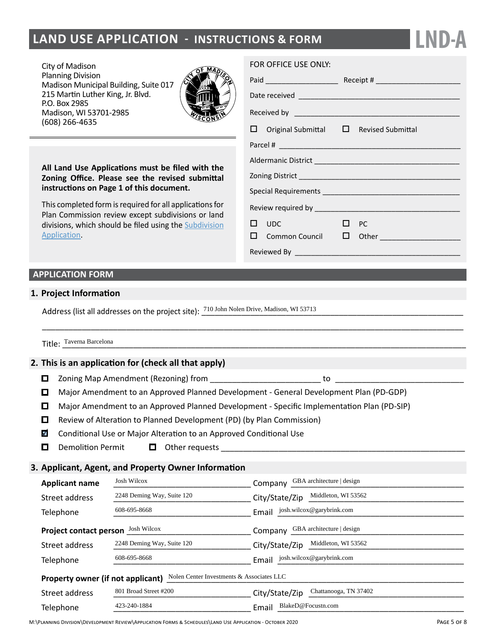# **LAND USE APPLICATION - INSTRUCTIONS & FORM**

City of Madison Planning Division Madison Municipal Building, Suite 017 215 Martin Luther King, Jr. Blvd. P.O. Box 2985 Madison, WI 53701-2985 (608) 266-4635



**All Land Use Applications must be filed with the Zoning Office. Please see the revised submittal instructions on Page 1 of this document.**

This completed form is required for all applications for Plan Commission review except subdivisions or land divisions, which should be filed using the [Subdivision](http://www.cityofmadison.com/development-services-center/documents/SubdivisionApplication.pdf) [Application.](http://www.cityofmadison.com/development-services-center/documents/SubdivisionApplication.pdf)

#### FOR OFFICE USE ONLY:

|  | $\Box$ Original Submittal $\Box$ Revised Submittal |           |                                          |  |  |  |
|--|----------------------------------------------------|-----------|------------------------------------------|--|--|--|
|  |                                                    |           |                                          |  |  |  |
|  |                                                    |           |                                          |  |  |  |
|  |                                                    |           |                                          |  |  |  |
|  |                                                    |           |                                          |  |  |  |
|  |                                                    |           |                                          |  |  |  |
|  | $\square$ $\square$                                | $\Box$ PC |                                          |  |  |  |
|  |                                                    |           | $\square$ Common Council $\square$ Other |  |  |  |
|  |                                                    |           |                                          |  |  |  |

**LND-A**

## **APPLICATION FORM**

### **1. Project Information**

Address (list all addresses on the project site):  $\frac{710 \text{ Johnsymbol}}{2}$  Dischermines, Madison, WI 53713

Title: \_\_\_\_\_\_\_\_\_\_\_\_\_\_\_\_\_\_\_\_\_\_\_\_\_\_\_\_\_\_\_\_\_\_\_\_\_\_\_\_\_\_\_\_\_\_\_\_\_\_\_\_\_\_\_\_\_\_\_\_\_\_\_\_\_\_\_\_\_\_\_\_\_\_\_\_\_\_\_\_\_\_\_\_\_\_\_\_\_\_\_ Taverna Barcelona

#### **2. This is an application for (check all that apply)**

- $\Box$  Zoning Map Amendment (Rezoning) from  $\Box$
- $\Box$ Major Amendment to an Approved Planned Development - General Development Plan (PD-GDP)

\_\_\_\_\_\_\_\_\_\_\_\_\_\_\_\_\_\_\_\_\_\_\_\_\_\_\_\_\_\_\_\_\_\_\_\_\_\_\_\_\_\_\_\_\_\_\_\_\_\_\_\_\_\_\_\_\_\_\_\_\_\_\_\_\_\_\_\_\_\_\_\_\_\_\_\_\_\_\_\_\_\_\_\_\_\_\_\_\_\_\_\_\_\_\_

- Major Amendment to an Approved Planned Development Specific Implementation Plan (PD-SIP)
- Review of Alteration to Planned Development (PD) (by Plan Commission)
- $\blacktriangledown$ Conditional Use or Major Alteration to an Approved Conditional Use
- $\Box$ Demolition Permit  $\Box$  Other requests

## **3. Applicant, Agent, and Property Owner Information**

| <b>Applicant name</b>                                                          | <b>Josh Wilcox</b>         | GBA architecture   design<br>Company    |  |  |  |  |  |  |  |
|--------------------------------------------------------------------------------|----------------------------|-----------------------------------------|--|--|--|--|--|--|--|
| Street address                                                                 | 2248 Deming Way, Suite 120 | Middleton, WI 53562<br>City/State/Zip   |  |  |  |  |  |  |  |
| Telephone                                                                      | 608-695-8668               | josh.wilcox@garybrink.com<br>Email      |  |  |  |  |  |  |  |
| <b>Project contact person</b>                                                  | <b>Josh Wilcox</b>         | GBA architecture   design<br>Company    |  |  |  |  |  |  |  |
| Street address                                                                 | 2248 Deming Way, Suite 120 | Middleton, WI 53562<br>City/State/Zip   |  |  |  |  |  |  |  |
| Telephone                                                                      | 608-695-8668               | josh.wilcox@garybrink.com<br>Email      |  |  |  |  |  |  |  |
| Nolen Center Investments & Associates LLC<br>Property owner (if not applicant) |                            |                                         |  |  |  |  |  |  |  |
| Street address                                                                 | 801 Broad Street #200      | Chattanooga, TN 37402<br>City/State/Zip |  |  |  |  |  |  |  |
| Telephone                                                                      | 423-240-1884               | BlakeD@Focustn.com<br>Email             |  |  |  |  |  |  |  |